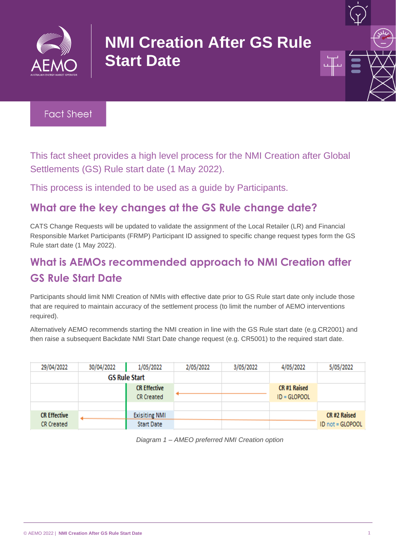

# **NMI Creation After GS Rule Start Date**



This fact sheet provides a high level process for the NMI Creation after Global Settlements (GS) Rule start date (1 May 2022).

This process is intended to be used as a guide by Participants.

#### **What are the key changes at the GS Rule change date?**

CATS Change Requests will be updated to validate the assignment of the Local Retailer (LR) and Financial Responsible Market Participants (FRMP) Participant ID assigned to specific change request types form the GS Rule start date (1 May 2022).

## **What is AEMOs recommended approach to NMI Creation after GS Rule Start Date**

Participants should limit NMI Creation of NMIs with effective date prior to GS Rule start date only include those that are required to maintain accuracy of the settlement process (to limit the number of AEMO interventions required).

Alternatively AEMO recommends starting the NMI creation in line with the GS Rule start date (e.g.CR2001) and then raise a subsequent Backdate NMI Start Date change request (e.g. CR5001) to the required start date.

| 29/04/2022          | 30/04/2022 | 1/05/2022            | 2/05/2022 | 3/05/2022 | 4/05/2022      | 5/05/2022        |
|---------------------|------------|----------------------|-----------|-----------|----------------|------------------|
|                     |            | <b>GS Rule Start</b> |           |           |                |                  |
|                     |            | <b>CR Effective</b>  |           |           | CR #1 Raised   |                  |
|                     |            | <b>CR Created</b>    |           |           | $ID = GLOPOOL$ |                  |
|                     |            |                      |           |           |                |                  |
| <b>CR Effective</b> |            | <b>Exisiting NMI</b> |           |           |                | CR #2 Raised     |
| CR Created          |            | <b>Start Date</b>    |           |           |                | ID not = GLOPOOL |

*Diagram 1 – AMEO preferred NMI Creation option*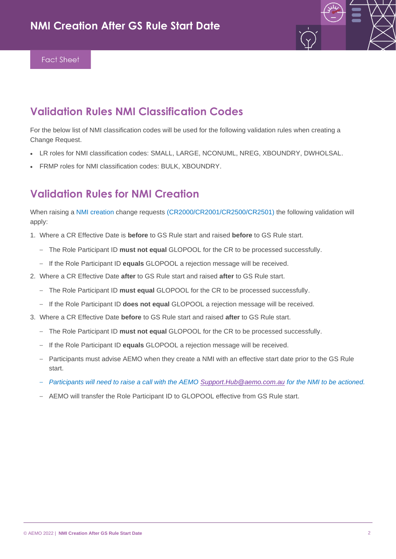

#### **Validation Rules NMI Classification Codes**

For the below list of NMI classification codes will be used for the following validation rules when creating a Change Request.

- LR roles for NMI classification codes: SMALL, LARGE, NCONUML, NREG, XBOUNDRY, DWHOLSAL.
- FRMP roles for NMI classification codes: BULK, XBOUNDRY.

#### **Validation Rules for NMI Creation**

When raising a NMI creation change requests (CR2000/CR2001/CR2500/CR2501) the following validation will apply:

- 1. Where a CR Effective Date is **before** to GS Rule start and raised **before** to GS Rule start.
	- The Role Participant ID **must not equal** GLOPOOL for the CR to be processed successfully.
	- If the Role Participant ID **equals** GLOPOOL a rejection message will be received.
- 2. Where a CR Effective Date **after** to GS Rule start and raised **after** to GS Rule start.
	- The Role Participant ID **must equal** GLOPOOL for the CR to be processed successfully.
	- If the Role Participant ID **does not equal** GLOPOOL a rejection message will be received.
- 3. Where a CR Effective Date **before** to GS Rule start and raised **after** to GS Rule start.
	- The Role Participant ID **must not equal** GLOPOOL for the CR to be processed successfully.
	- If the Role Participant ID **equals** GLOPOOL a rejection message will be received.
	- Participants must advise AEMO when they create a NMI with an effective start date prior to the GS Rule start.
	- *Participants will need to raise a call with the AEMO [Support.Hub@aemo.com.au](mailto:Support.Hub@aemo.com.au) for the NMI to be actioned.*
	- AEMO will transfer the Role Participant ID to GLOPOOL effective from GS Rule start.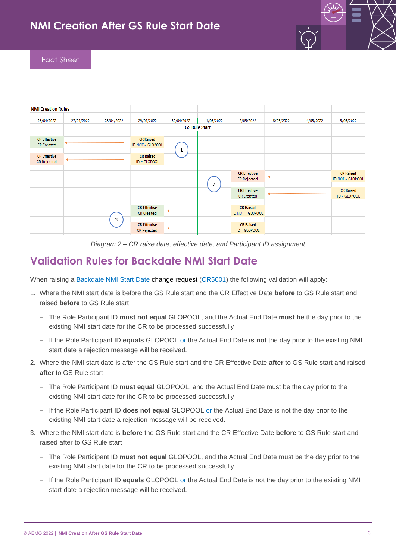

| <b>NMI Creation Rules</b>                |            |            |                                          |            |                      |                                          |           |           |                                      |
|------------------------------------------|------------|------------|------------------------------------------|------------|----------------------|------------------------------------------|-----------|-----------|--------------------------------------|
| 26/04/2022                               | 27/04/2022 | 28/04/2022 | 29/04/2022                               | 30/04/2022 | 1/05/2022            | 2/05/2022                                | 3/05/2022 | 4/05/2022 | 5/05/2022                            |
|                                          |            |            |                                          |            | <b>GS Rule Start</b> |                                          |           |           |                                      |
| <b>CR Effective</b><br><b>CR Created</b> |            |            | <b>CR Raised</b><br>ID NOT = GLOPOOL     |            |                      |                                          |           |           |                                      |
| <b>CR Effective</b><br>CR Rejected       |            |            | <b>CR Raised</b><br>ID = GLOPOOL         |            |                      |                                          |           |           |                                      |
|                                          |            |            |                                          |            |                      | <b>CR Effective</b><br>CR Rejected       |           |           | <b>CR Raised</b><br>ID NOT = GLOPOOL |
|                                          |            |            |                                          |            | Δ                    | <b>CR Effective</b><br><b>CR Created</b> |           |           | <b>CR Raised</b><br>ID = GLOPOOL     |
|                                          |            |            | <b>CR Effective</b><br><b>CR Created</b> |            |                      | <b>CR Raised</b><br>ID NOT = GLOPOOL     |           |           |                                      |
|                                          |            | 3          | <b>CR Effective</b><br>CR Rejected       |            |                      | <b>CR Raised</b><br>ID = GLOPOOL         |           |           |                                      |

*Diagram 2 – CR raise date, effective date, and Participant ID assignment*

#### **Validation Rules for Backdate NMI Start Date**

When raising a Backdate NMI Start Date change request (CR5001) the following validation will apply:

- 1. Where the NMI start date is before the GS Rule start and the CR Effective Date **before** to GS Rule start and raised **before** to GS Rule start
	- The Role Participant ID **must not equal** GLOPOOL, and the Actual End Date **must be** the day prior to the existing NMI start date for the CR to be processed successfully
	- If the Role Participant ID **equals** GLOPOOL or the Actual End Date **is not** the day prior to the existing NMI start date a rejection message will be received.
- 2. Where the NMI start date is after the GS Rule start and the CR Effective Date **after** to GS Rule start and raised **after** to GS Rule start
	- The Role Participant ID **must equal** GLOPOOL, and the Actual End Date must be the day prior to the existing NMI start date for the CR to be processed successfully
	- If the Role Participant ID **does not equal** GLOPOOL or the Actual End Date is not the day prior to the existing NMI start date a rejection message will be received.
- 3. Where the NMI start date is **before** the GS Rule start and the CR Effective Date **before** to GS Rule start and raised after to GS Rule start
	- The Role Participant ID **must not equal** GLOPOOL, and the Actual End Date must be the day prior to the existing NMI start date for the CR to be processed successfully
	- If the Role Participant ID **equals** GLOPOOL or the Actual End Date is not the day prior to the existing NMI start date a rejection message will be received.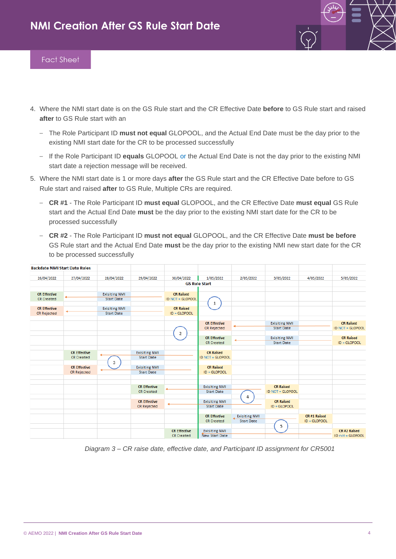

- 4. Where the NMI start date is on the GS Rule start and the CR Effective Date **before** to GS Rule start and raised **after** to GS Rule start with an
	- The Role Participant ID **must not equal** GLOPOOL, and the Actual End Date must be the day prior to the existing NMI start date for the CR to be processed successfully
	- If the Role Participant ID **equals** GLOPOOL or the Actual End Date is not the day prior to the existing NMI start date a rejection message will be received.
- 5. Where the NMI start date is 1 or more days **after** the GS Rule start and the CR Effective Date before to GS Rule start and raised **after** to GS Rule, Multiple CRs are required.
	- **CR #1** The Role Participant ID **must equal** GLOPOOL, and the CR Effective Date **must equal** GS Rule start and the Actual End Date **must** be the day prior to the existing NMI start date for the CR to be processed successfully
	- **CR #2** The Role Participant ID **must not equal** GLOPOOL, and the CR Effective Date **must be before** GS Rule start and the Actual End Date **must** be the day prior to the existing NMI new start date for the CR to be processed successfully

| <b>Backdate NMI Start Date Rules</b> |                     |                      |                                           |                         |                                          |                      |                                           |              |                                  |
|--------------------------------------|---------------------|----------------------|-------------------------------------------|-------------------------|------------------------------------------|----------------------|-------------------------------------------|--------------|----------------------------------|
| 26/04/2022                           | 27/04/2022          | 28/04/2022           | 29/04/2022                                | 30/04/2022              | 1/05/2022                                | 2/05/2022            | 3/05/2022                                 | 4/05/2022    | 5/05/2022                        |
|                                      |                     |                      |                                           |                         | <b>GS Rule Start</b>                     |                      |                                           |              |                                  |
|                                      |                     |                      |                                           |                         |                                          |                      |                                           |              |                                  |
| <b>CR Effective</b>                  |                     | <b>Exisiting NMI</b> |                                           | <b>CR Raised</b>        |                                          |                      |                                           |              |                                  |
| <b>CR Created</b>                    |                     | <b>Start Date</b>    |                                           | <b>ID NOT = GLOPOOL</b> |                                          |                      |                                           |              |                                  |
|                                      |                     |                      |                                           |                         | 1                                        |                      |                                           |              |                                  |
| <b>CR Effective</b>                  |                     | <b>Exisiting NMI</b> |                                           | <b>CR Raised</b>        |                                          |                      |                                           |              |                                  |
| <b>CR Rejected</b>                   |                     | <b>Start Date</b>    |                                           | ID = GLOPOOL            |                                          |                      |                                           |              |                                  |
|                                      |                     |                      |                                           |                         |                                          |                      |                                           |              |                                  |
|                                      |                     |                      |                                           |                         | <b>CR Effective</b>                      |                      | <b>Exisiting NMI</b>                      |              | <b>CR Raised</b>                 |
|                                      |                     |                      |                                           |                         | <b>CR Rejected</b>                       |                      | <b>Start Date</b>                         |              | <b>ID NOT = GLOPOOL</b>          |
|                                      |                     |                      |                                           | 2                       |                                          |                      |                                           |              |                                  |
|                                      |                     |                      |                                           |                         | <b>CR Effective</b><br><b>CR Created</b> |                      | <b>Exisiting NMI</b><br><b>Start Date</b> |              | <b>CR Raised</b><br>ID = GLOPOOL |
|                                      |                     |                      |                                           |                         |                                          |                      |                                           |              |                                  |
|                                      | <b>CR Effective</b> |                      |                                           |                         | <b>CR Raised</b>                         |                      |                                           |              |                                  |
|                                      | <b>CR Created</b>   |                      | <b>Exisiting NMI</b><br><b>Start Date</b> |                         | ID NOT = GLOPOOL                         |                      |                                           |              |                                  |
|                                      |                     |                      |                                           |                         |                                          |                      |                                           |              |                                  |
|                                      | <b>CR Effective</b> | 3                    | <b>Exisiting NMI</b>                      |                         | <b>CR Raised</b>                         |                      |                                           |              |                                  |
|                                      | CR Rejected         |                      | <b>Start Date</b>                         |                         | ID = GLOPOOL                             |                      |                                           |              |                                  |
|                                      |                     |                      |                                           |                         |                                          |                      |                                           |              |                                  |
|                                      |                     |                      |                                           |                         |                                          |                      |                                           |              |                                  |
|                                      |                     |                      | <b>CR Effective</b>                       |                         | <b>Exisiting NMI</b>                     |                      | <b>CR Raised</b>                          |              |                                  |
|                                      |                     |                      | <b>CR Created</b>                         |                         | <b>Start Date</b>                        |                      | <b>ID NOT = GLOPOOL</b>                   |              |                                  |
|                                      |                     |                      |                                           |                         |                                          | 4                    |                                           |              |                                  |
|                                      |                     |                      | <b>CR Effective</b>                       |                         | <b>Exisiting NMI</b>                     |                      | <b>CR Raised</b>                          |              |                                  |
|                                      |                     |                      | <b>CR Rejected</b>                        |                         | <b>Start Date</b>                        |                      | ID = GLOPOOL                              |              |                                  |
|                                      |                     |                      |                                           |                         |                                          |                      |                                           |              |                                  |
|                                      |                     |                      |                                           |                         | <b>CR Effective</b>                      | <b>Exisiting NMI</b> |                                           | CR #1 Raised |                                  |
|                                      |                     |                      |                                           |                         | <b>CR Created</b>                        | <b>Start Date</b>    |                                           | ID = GLOPOOL |                                  |
|                                      |                     |                      |                                           |                         |                                          |                      | 5                                         |              |                                  |
|                                      |                     |                      |                                           | <b>CR Effective</b>     | <b>Exisiting NMI</b>                     |                      |                                           |              | CR #2 Raised                     |
|                                      |                     |                      |                                           | <b>CR Created</b>       | <b>New Start Date</b>                    |                      |                                           |              | ID not = GLOPOOL                 |

*Diagram 3 – CR raise date, effective date, and Participant ID assignment for CR5001*